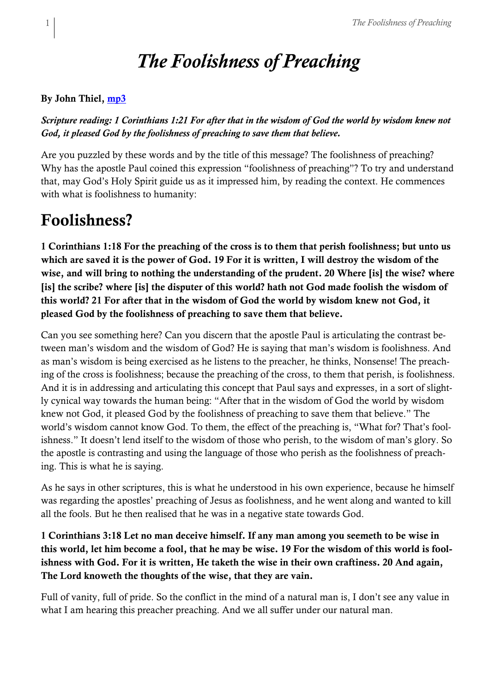# *The Foolishness of Preaching*

#### By John Thiel, [mp3](https://sabbathsermons.files.wordpress.com/2022/06/20220604-the-foolishness-of-preaching.mp3)

*Scripture reading: 1 Corinthians 1:21 For after that in the wisdom of God the world by wisdom knew not God, it pleased God by the foolishness of preaching to save them that believe.*

Are you puzzled by these words and by the title of this message? The foolishness of preaching? Why has the apostle Paul coined this expression "foolishness of preaching"? To try and understand that, may God's Holy Spirit guide us as it impressed him, by reading the context. He commences with what is foolishness to humanity:

### Foolishness?

1 Corinthians 1:18 For the preaching of the cross is to them that perish foolishness; but unto us which are saved it is the power of God. 19 For it is written, I will destroy the wisdom of the wise, and will bring to nothing the understanding of the prudent. 20 Where [is] the wise? where [is] the scribe? where [is] the disputer of this world? hath not God made foolish the wisdom of this world? 21 For after that in the wisdom of God the world by wisdom knew not God, it pleased God by the foolishness of preaching to save them that believe.

Can you see something here? Can you discern that the apostle Paul is articulating the contrast between man's wisdom and the wisdom of God? He is saying that man's wisdom is foolishness. And as man's wisdom is being exercised as he listens to the preacher, he thinks, Nonsense! The preaching of the cross is foolishness; because the preaching of the cross, to them that perish, is foolishness. And it is in addressing and articulating this concept that Paul says and expresses, in a sort of slightly cynical way towards the human being: "After that in the wisdom of God the world by wisdom knew not God, it pleased God by the foolishness of preaching to save them that believe." The world's wisdom cannot know God. To them, the effect of the preaching is, "What for? That's foolishness." It doesn't lend itself to the wisdom of those who perish, to the wisdom of man's glory. So the apostle is contrasting and using the language of those who perish as the foolishness of preaching. This is what he is saying.

As he says in other scriptures, this is what he understood in his own experience, because he himself was regarding the apostles' preaching of Jesus as foolishness, and he went along and wanted to kill all the fools. But he then realised that he was in a negative state towards God.

### 1 Corinthians 3:18 Let no man deceive himself. If any man among you seemeth to be wise in this world, let him become a fool, that he may be wise. 19 For the wisdom of this world is foolishness with God. For it is written, He taketh the wise in their own craftiness. 20 And again, The Lord knoweth the thoughts of the wise, that they are vain.

Full of vanity, full of pride. So the conflict in the mind of a natural man is, I don't see any value in what I am hearing this preacher preaching. And we all suffer under our natural man.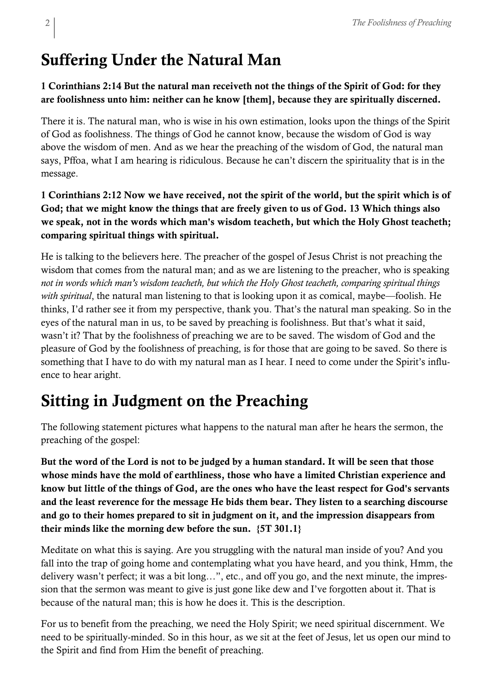## Suffering Under the Natural Man

### 1 Corinthians 2:14 But the natural man receiveth not the things of the Spirit of God: for they are foolishness unto him: neither can he know [them], because they are spiritually discerned.

There it is. The natural man, who is wise in his own estimation, looks upon the things of the Spirit of God as foolishness. The things of God he cannot know, because the wisdom of God is way above the wisdom of men. And as we hear the preaching of the wisdom of God, the natural man says, Pffoa, what I am hearing is ridiculous. Because he can't discern the spirituality that is in the message.

### 1 Corinthians 2:12 Now we have received, not the spirit of the world, but the spirit which is of God; that we might know the things that are freely given to us of God. 13 Which things also we speak, not in the words which man's wisdom teacheth, but which the Holy Ghost teacheth; comparing spiritual things with spiritual.

He is talking to the believers here. The preacher of the gospel of Jesus Christ is not preaching the wisdom that comes from the natural man; and as we are listening to the preacher, who is speaking *not in words which man's wisdom teacheth, but which the Holy Ghost teacheth, comparing spiritual things with spiritual*, the natural man listening to that is looking upon it as comical, maybe—foolish. He thinks, I'd rather see it from my perspective, thank you. That's the natural man speaking. So in the eyes of the natural man in us, to be saved by preaching is foolishness. But that's what it said, wasn't it? That by the foolishness of preaching we are to be saved. The wisdom of God and the pleasure of God by the foolishness of preaching, is for those that are going to be saved. So there is something that I have to do with my natural man as I hear. I need to come under the Spirit's influence to hear aright.

# Sitting in Judgment on the Preaching

The following statement pictures what happens to the natural man after he hears the sermon, the preaching of the gospel:

But the word of the Lord is not to be judged by a human standard. It will be seen that those whose minds have the mold of earthliness, those who have a limited Christian experience and know but little of the things of God, are the ones who have the least respect for God's servants and the least reverence for the message He bids them bear. They listen to a searching discourse and go to their homes prepared to sit in judgment on it, and the impression disappears from their minds like the morning dew before the sun. {5T 301.1}

Meditate on what this is saying. Are you struggling with the natural man inside of you? And you fall into the trap of going home and contemplating what you have heard, and you think, Hmm, the delivery wasn't perfect; it was a bit long…", etc., and off you go, and the next minute, the impression that the sermon was meant to give is just gone like dew and I've forgotten about it. That is because of the natural man; this is how he does it. This is the description.

For us to benefit from the preaching, we need the Holy Spirit; we need spiritual discernment. We need to be spiritually-minded. So in this hour, as we sit at the feet of Jesus, let us open our mind to the Spirit and find from Him the benefit of preaching.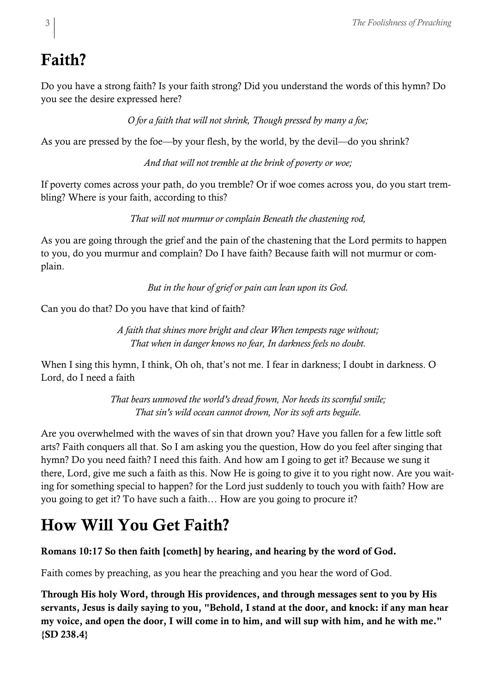# Faith?

Do you have a strong faith? Is your faith strong? Did you understand the words of this hymn? Do you see the desire expressed here?

*O for a faith that will not shrink, Though pressed by many a foe;*

As you are pressed by the foe—by your flesh, by the world, by the devil—do you shrink?

*And that will not tremble at the brink of poverty or woe;*

If poverty comes across your path, do you tremble? Or if woe comes across you, do you start trembling? Where is your faith, according to this?

*That will not murmur or complain Beneath the chastening rod,*

As you are going through the grief and the pain of the chastening that the Lord permits to happen to you, do you murmur and complain? Do I have faith? Because faith will not murmur or complain.

*But in the hour of grief or pain can lean upon its God.*

Can you do that? Do you have that kind of faith?

*A faith that shines more bright and clear When tempests rage without; That when in danger knows no fear, In darkness feels no doubt.*

When I sing this hymn, I think, Oh oh, that's not me. I fear in darkness; I doubt in darkness. O Lord, do I need a faith

> *That bears unmoved the world's dread frown, Nor heeds its scornful smile; That sin's wild ocean cannot drown, Nor its soft arts beguile.*

Are you overwhelmed with the waves of sin that drown you? Have you fallen for a few little soft arts? Faith conquers all that. So I am asking you the question, How do you feel after singing that hymn? Do you need faith? I need this faith. And how am I going to get it? Because we sung it there, Lord, give me such a faith as this. Now He is going to give it to you right now. Are you waiting for something special to happen? for the Lord just suddenly to touch you with faith? How are you going to get it? To have such a faith… How are you going to procure it?

# How Will You Get Faith?

### Romans 10:17 So then faith [cometh] by hearing, and hearing by the word of God.

Faith comes by preaching, as you hear the preaching and you hear the word of God.

Through His holy Word, through His providences, and through messages sent to you by His servants, Jesus is daily saying to you, "Behold, I stand at the door, and knock: if any man hear my voice, and open the door, I will come in to him, and will sup with him, and he with me." {SD 238.4}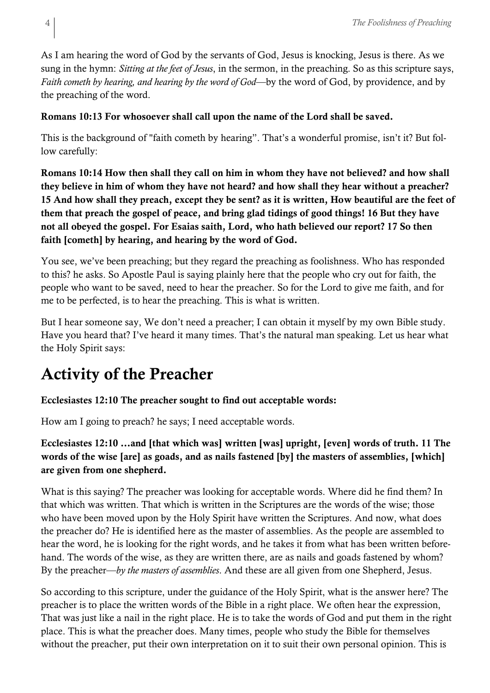As I am hearing the word of God by the servants of God, Jesus is knocking, Jesus is there. As we sung in the hymn: *Sitting at the feet of Jesus*, in the sermon, in the preaching. So as this scripture says, *Faith cometh by hearing, and hearing by the word of God*—by the word of God, by providence, and by the preaching of the word.

#### Romans 10:13 For whosoever shall call upon the name of the Lord shall be saved.

This is the background of "faith cometh by hearing". That's a wonderful promise, isn't it? But follow carefully:

Romans 10:14 How then shall they call on him in whom they have not believed? and how shall they believe in him of whom they have not heard? and how shall they hear without a preacher? 15 And how shall they preach, except they be sent? as it is written, How beautiful are the feet of them that preach the gospel of peace, and bring glad tidings of good things! 16 But they have not all obeyed the gospel. For Esaias saith, Lord, who hath believed our report? 17 So then faith [cometh] by hearing, and hearing by the word of God.

You see, we've been preaching; but they regard the preaching as foolishness. Who has responded to this? he asks. So Apostle Paul is saying plainly here that the people who cry out for faith, the people who want to be saved, need to hear the preacher. So for the Lord to give me faith, and for me to be perfected, is to hear the preaching. This is what is written.

But I hear someone say, We don't need a preacher; I can obtain it myself by my own Bible study. Have you heard that? I've heard it many times. That's the natural man speaking. Let us hear what the Holy Spirit says:

### Activity of the Preacher

#### Ecclesiastes 12:10 The preacher sought to find out acceptable words:

How am I going to preach? he says; I need acceptable words.

### Ecclesiastes 12:10 …and [that which was] written [was] upright, [even] words of truth. 11 The words of the wise [are] as goads, and as nails fastened [by] the masters of assemblies, [which] are given from one shepherd.

What is this saying? The preacher was looking for acceptable words. Where did he find them? In that which was written. That which is written in the Scriptures are the words of the wise; those who have been moved upon by the Holy Spirit have written the Scriptures. And now, what does the preacher do? He is identified here as the master of assemblies. As the people are assembled to hear the word, he is looking for the right words, and he takes it from what has been written beforehand. The words of the wise, as they are written there, are as nails and goads fastened by whom? By the preacher—*by the masters of assemblies*. And these are all given from one Shepherd, Jesus.

So according to this scripture, under the guidance of the Holy Spirit, what is the answer here? The preacher is to place the written words of the Bible in a right place. We often hear the expression, That was just like a nail in the right place. He is to take the words of God and put them in the right place. This is what the preacher does. Many times, people who study the Bible for themselves without the preacher, put their own interpretation on it to suit their own personal opinion. This is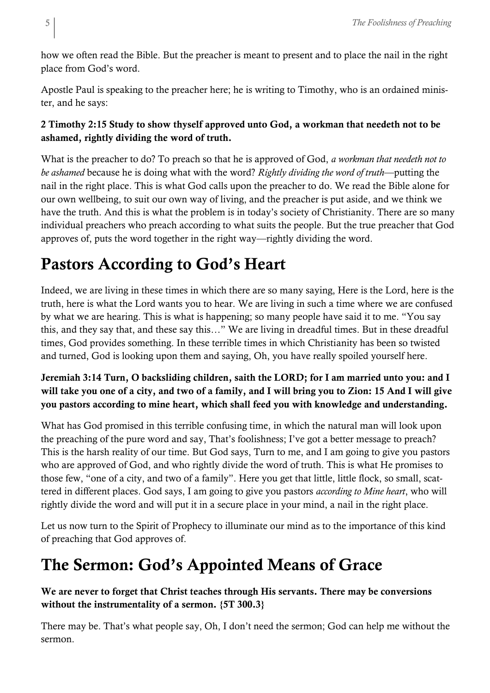how we often read the Bible. But the preacher is meant to present and to place the nail in the right place from God's word.

Apostle Paul is speaking to the preacher here; he is writing to Timothy, who is an ordained minister, and he says:

### 2 Timothy 2:15 Study to show thyself approved unto God, a workman that needeth not to be ashamed, rightly dividing the word of truth.

What is the preacher to do? To preach so that he is approved of God, *a workman that needeth not to be ashamed* because he is doing what with the word? *Rightly dividing the word of truth*—putting the nail in the right place. This is what God calls upon the preacher to do. We read the Bible alone for our own wellbeing, to suit our own way of living, and the preacher is put aside, and we think we have the truth. And this is what the problem is in today's society of Christianity. There are so many individual preachers who preach according to what suits the people. But the true preacher that God approves of, puts the word together in the right way—rightly dividing the word.

## Pastors According to God's Heart

Indeed, we are living in these times in which there are so many saying, Here is the Lord, here is the truth, here is what the Lord wants you to hear. We are living in such a time where we are confused by what we are hearing. This is what is happening; so many people have said it to me. "You say this, and they say that, and these say this…" We are living in dreadful times. But in these dreadful times, God provides something. In these terrible times in which Christianity has been so twisted and turned, God is looking upon them and saying, Oh, you have really spoiled yourself here.

### Jeremiah 3:14 Turn, O backsliding children, saith the LORD; for I am married unto you: and I will take you one of a city, and two of a family, and I will bring you to Zion: 15 And I will give you pastors according to mine heart, which shall feed you with knowledge and understanding.

What has God promised in this terrible confusing time, in which the natural man will look upon the preaching of the pure word and say, That's foolishness; I've got a better message to preach? This is the harsh reality of our time. But God says, Turn to me, and I am going to give you pastors who are approved of God, and who rightly divide the word of truth. This is what He promises to those few, "one of a city, and two of a family". Here you get that little, little flock, so small, scattered in different places. God says, I am going to give you pastors *according to Mine heart*, who will rightly divide the word and will put it in a secure place in your mind, a nail in the right place.

Let us now turn to the Spirit of Prophecy to illuminate our mind as to the importance of this kind of preaching that God approves of.

### The Sermon: God's Appointed Means of Grace

We are never to forget that Christ teaches through His servants. There may be conversions without the instrumentality of a sermon. {5T 300.3}

There may be. That's what people say, Oh, I don't need the sermon; God can help me without the sermon.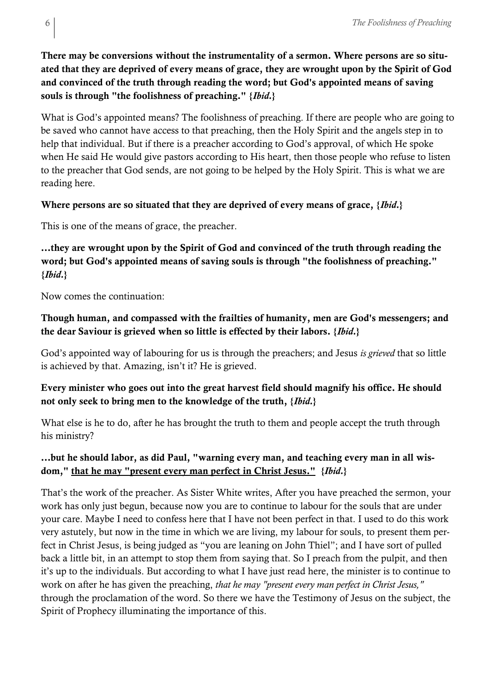There may be conversions without the instrumentality of a sermon. Where persons are so situated that they are deprived of every means of grace, they are wrought upon by the Spirit of God and convinced of the truth through reading the word; but God's appointed means of saving souls is through "the foolishness of preaching." {*Ibid.*}

What is God's appointed means? The foolishness of preaching. If there are people who are going to be saved who cannot have access to that preaching, then the Holy Spirit and the angels step in to help that individual. But if there is a preacher according to God's approval, of which He spoke when He said He would give pastors according to His heart, then those people who refuse to listen to the preacher that God sends, are not going to be helped by the Holy Spirit. This is what we are reading here.

#### Where persons are so situated that they are deprived of every means of grace, {*Ibid.*}

This is one of the means of grace, the preacher.

…they are wrought upon by the Spirit of God and convinced of the truth through reading the word; but God's appointed means of saving souls is through "the foolishness of preaching." {*Ibid.*}

Now comes the continuation:

#### Though human, and compassed with the frailties of humanity, men are God's messengers; and the dear Saviour is grieved when so little is effected by their labors. {*Ibid.*}

God's appointed way of labouring for us is through the preachers; and Jesus *is grieved* that so little is achieved by that. Amazing, isn't it? He is grieved.

### Every minister who goes out into the great harvest field should magnify his office. He should not only seek to bring men to the knowledge of the truth, {*Ibid.*}

What else is he to do, after he has brought the truth to them and people accept the truth through his ministry?

### …but he should labor, as did Paul, "warning every man, and teaching every man in all wisdom," that he may "present every man perfect in Christ Jesus." {*Ibid.*}

That's the work of the preacher. As Sister White writes, After you have preached the sermon, your work has only just begun, because now you are to continue to labour for the souls that are under your care. Maybe I need to confess here that I have not been perfect in that. I used to do this work very astutely, but now in the time in which we are living, my labour for souls, to present them perfect in Christ Jesus, is being judged as "you are leaning on John Thiel"; and I have sort of pulled back a little bit, in an attempt to stop them from saying that. So I preach from the pulpit, and then it's up to the individuals. But according to what I have just read here, the minister is to continue to work on after he has given the preaching, *that he may "present every man perfect in Christ Jesus,"* through the proclamation of the word. So there we have the Testimony of Jesus on the subject, the Spirit of Prophecy illuminating the importance of this.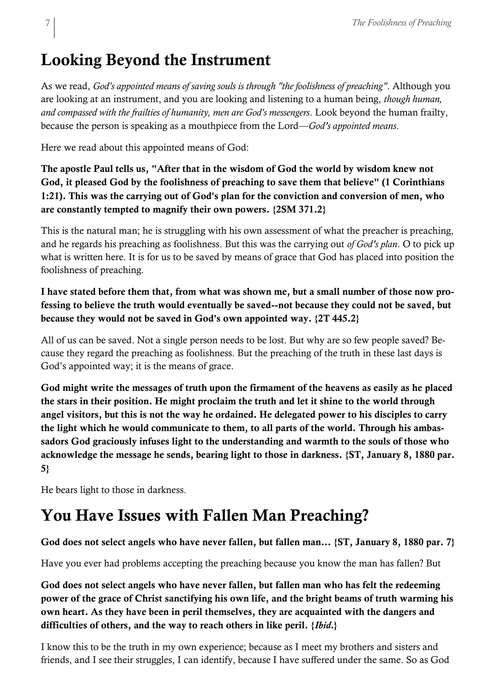## Looking Beyond the Instrument

As we read, *God's appointed means of saving souls is through "the foolishness of preaching"*. Although you are looking at an instrument, and you are looking and listening to a human being, *though human, and compassed with the frailties of humanity, men are God's messengers*. Look beyond the human frailty, because the person is speaking as a mouthpiece from the Lord—*God's appointed means*.

Here we read about this appointed means of God:

The apostle Paul tells us, "After that in the wisdom of God the world by wisdom knew not God, it pleased God by the foolishness of preaching to save them that believe" (1 Corinthians 1:21). This was the carrying out of God's plan for the conviction and conversion of men, who are constantly tempted to magnify their own powers. {2SM 371.2}

This is the natural man; he is struggling with his own assessment of what the preacher is preaching, and he regards his preaching as foolishness. But this was the carrying out *of God's plan*. O to pick up what is written here. It is for us to be saved by means of grace that God has placed into position the foolishness of preaching.

I have stated before them that, from what was shown me, but a small number of those now professing to believe the truth would eventually be saved--not because they could not be saved, but because they would not be saved in God's own appointed way. {2T 445.2}

All of us can be saved. Not a single person needs to be lost. But why are so few people saved? Because they regard the preaching as foolishness. But the preaching of the truth in these last days is God's appointed way; it is the means of grace.

God might write the messages of truth upon the firmament of the heavens as easily as he placed the stars in their position. He might proclaim the truth and let it shine to the world through angel visitors, but this is not the way he ordained. He delegated power to his disciples to carry the light which he would communicate to them, to all parts of the world. Through his ambassadors God graciously infuses light to the understanding and warmth to the souls of those who acknowledge the message he sends, bearing light to those in darkness. {ST, January 8, 1880 par. 5}

He bears light to those in darkness.

# You Have Issues with Fallen Man Preaching?

God does not select angels who have never fallen, but fallen man… {ST, January 8, 1880 par. 7}

Have you ever had problems accepting the preaching because you know the man has fallen? But

God does not select angels who have never fallen, but fallen man who has felt the redeeming power of the grace of Christ sanctifying his own life, and the bright beams of truth warming his own heart. As they have been in peril themselves, they are acquainted with the dangers and difficulties of others, and the way to reach others in like peril. {*Ibid.*}

I know this to be the truth in my own experience; because as I meet my brothers and sisters and friends, and I see their struggles, I can identify, because I have suffered under the same. So as God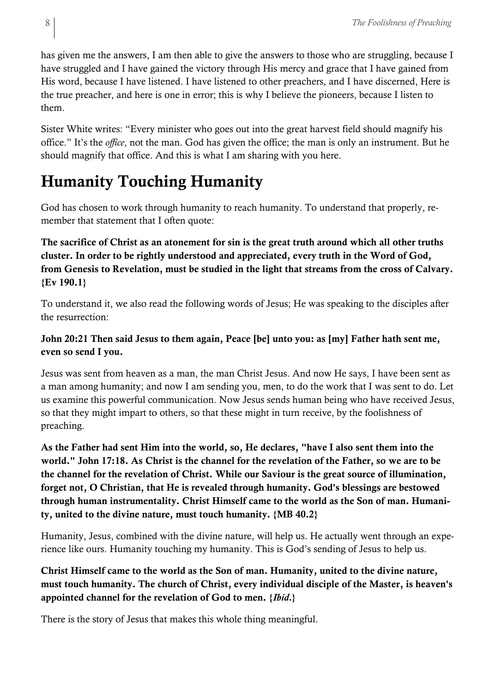has given me the answers, I am then able to give the answers to those who are struggling, because I have struggled and I have gained the victory through His mercy and grace that I have gained from His word, because I have listened. I have listened to other preachers, and I have discerned, Here is the true preacher, and here is one in error; this is why I believe the pioneers, because I listen to them.

Sister White writes: "Every minister who goes out into the great harvest field should magnify his office." It's the *office*, not the man. God has given the office; the man is only an instrument. But he should magnify that office. And this is what I am sharing with you here.

### Humanity Touching Humanity

God has chosen to work through humanity to reach humanity. To understand that properly, remember that statement that I often quote:

The sacrifice of Christ as an atonement for sin is the great truth around which all other truths cluster. In order to be rightly understood and appreciated, every truth in the Word of God, from Genesis to Revelation, must be studied in the light that streams from the cross of Calvary. {Ev 190.1}

To understand it, we also read the following words of Jesus; He was speaking to the disciples after the resurrection:

### John 20:21 Then said Jesus to them again, Peace [be] unto you: as [my] Father hath sent me, even so send I you.

Jesus was sent from heaven as a man, the man Christ Jesus. And now He says, I have been sent as a man among humanity; and now I am sending you, men, to do the work that I was sent to do. Let us examine this powerful communication. Now Jesus sends human being who have received Jesus, so that they might impart to others, so that these might in turn receive, by the foolishness of preaching.

As the Father had sent Him into the world, so, He declares, "have I also sent them into the world." John 17:18. As Christ is the channel for the revelation of the Father, so we are to be the channel for the revelation of Christ. While our Saviour is the great source of illumination, forget not, O Christian, that He is revealed through humanity. God's blessings are bestowed through human instrumentality. Christ Himself came to the world as the Son of man. Humanity, united to the divine nature, must touch humanity. {MB 40.2}

Humanity, Jesus, combined with the divine nature, will help us. He actually went through an experience like ours. Humanity touching my humanity. This is God's sending of Jesus to help us.

Christ Himself came to the world as the Son of man. Humanity, united to the divine nature, must touch humanity. The church of Christ, every individual disciple of the Master, is heaven's appointed channel for the revelation of God to men. {*Ibid.*}

There is the story of Jesus that makes this whole thing meaningful.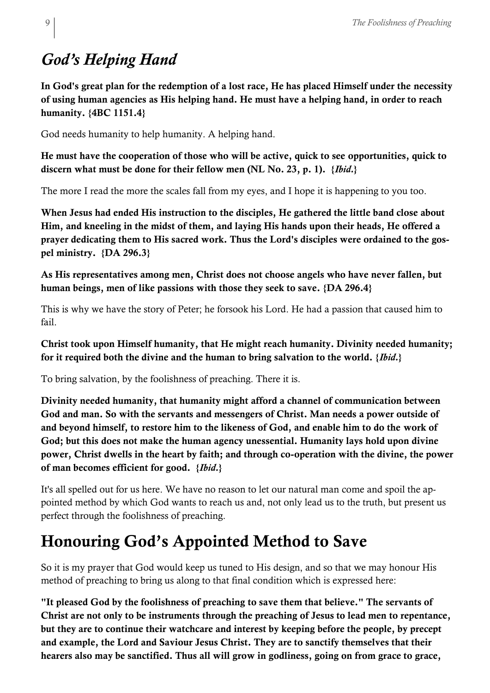# *God's Helping Hand*

In God's great plan for the redemption of a lost race, He has placed Himself under the necessity of using human agencies as His helping hand. He must have a helping hand, in order to reach humanity. {4BC 1151.4}

God needs humanity to help humanity. A helping hand.

He must have the cooperation of those who will be active, quick to see opportunities, quick to discern what must be done for their fellow men (NL No. 23, p. 1). {*Ibid.*}

The more I read the more the scales fall from my eyes, and I hope it is happening to you too.

When Jesus had ended His instruction to the disciples, He gathered the little band close about Him, and kneeling in the midst of them, and laying His hands upon their heads, He offered a prayer dedicating them to His sacred work. Thus the Lord's disciples were ordained to the gospel ministry. {DA 296.3}

As His representatives among men, Christ does not choose angels who have never fallen, but human beings, men of like passions with those they seek to save. {DA 296.4}

This is why we have the story of Peter; he forsook his Lord. He had a passion that caused him to fail.

Christ took upon Himself humanity, that He might reach humanity. Divinity needed humanity; for it required both the divine and the human to bring salvation to the world. {*Ibid.*}

To bring salvation, by the foolishness of preaching. There it is.

Divinity needed humanity, that humanity might afford a channel of communication between God and man. So with the servants and messengers of Christ. Man needs a power outside of and beyond himself, to restore him to the likeness of God, and enable him to do the work of God; but this does not make the human agency unessential. Humanity lays hold upon divine power, Christ dwells in the heart by faith; and through co-operation with the divine, the power of man becomes efficient for good. {*Ibid.*}

It's all spelled out for us here. We have no reason to let our natural man come and spoil the appointed method by which God wants to reach us and, not only lead us to the truth, but present us perfect through the foolishness of preaching.

# Honouring God's Appointed Method to Save

So it is my prayer that God would keep us tuned to His design, and so that we may honour His method of preaching to bring us along to that final condition which is expressed here:

"It pleased God by the foolishness of preaching to save them that believe." The servants of Christ are not only to be instruments through the preaching of Jesus to lead men to repentance, but they are to continue their watchcare and interest by keeping before the people, by precept and example, the Lord and Saviour Jesus Christ. They are to sanctify themselves that their hearers also may be sanctified. Thus all will grow in godliness, going on from grace to grace,